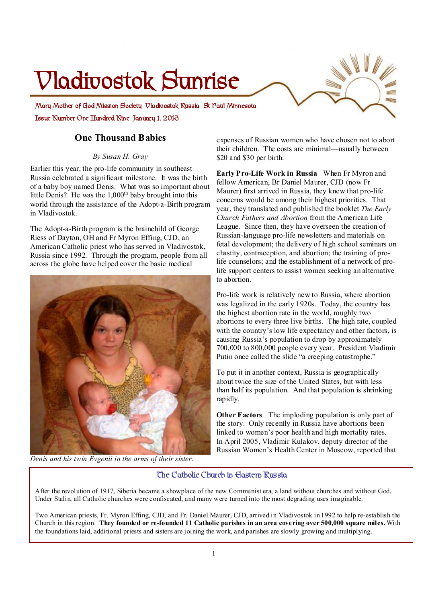# **Vladivostok Sunrise**

**Issue Number One Hundred Nine January 1, 2013 Mary Mother of God Mission Society Vladivostok Russia St Paul Minnesota** 

### **One Thousand Babies**

#### *By Susan H. Gray*

Earlier this year, the pro-life community in southeast Russia celebrated a significant milestone. It was the birth of a baby boy named Denis. What was so important about little Denis? He was the  $1,000<sup>th</sup>$  baby brought into this world through the assistance of the Adopt-a-Birth program in Vladivostok.

The Adopt-a-Birth program is the brainchild of George Riess of Dayton, OH and Fr Myron Effing, CJD, an American Catholic priest who has served in Vladivostok, Russia since 1992. Through the program, people from all across the globe have helped cover the basic medical



*Denis and his twin Evgenii in the arms of their sister.* 

expenses of Russian women who have chosen not to abort their children. The costs are minimal—usually between \$20 and \$30 per birth.

**Early Pro-Life Work in Russia** When Fr Myron and fellow American, Br Daniel Maurer, CJD (now Fr Maurer) first arrived in Russia, they knew that pro-life concerns would be among their highest priorities. That year, they translated and published the booklet *The Early Church Fathers and Abortion* from the American Life League. Since then, they have overseen the creation of Russian-language pro-life newsletters and materials on fetal development; the delivery of high school seminars on chastity, contraception, and abortion; the training of prolife counselors; and the establishment of a network of prolife support centers to assist women seeking an alternative to abortion.

Pro-life work is relatively new to Russia, where abortion was legalized in the early 1920s. Today, the country has the highest abortion rate in the world, roughly two abortions to every three live births. The high rate, coupled with the country's low life expectancy and other factors, is causing Russia's population to drop by approximately 700,000 to 800,000 people every year. President Vladimir Putin once called the slide "a creeping catastrophe."

To put it in another context, Russia is geographically about twice the size of the United States, but with less than half its population. And that population is shrinking rapidly.

**Other Factors** The imploding population is only part of the story. Only recently in Russia have abortions been linked to women's poor health and high mortality rates. In April 2005, Vladimir Kulakov, deputy director of the Russian Women's Health Center in Moscow, reported that

#### **The Catholic Church in Eastern Russia**

After the revolution of 1917, Siberia became a showplace of the new Communist era, a land without churches and without God. Under Stalin, all Catholic churches were confiscated, and many were turned into the most degrading uses imaginable.

Two American priests, Fr. Myron Effing, CJD, and Fr. Daniel Maurer, CJD, arrived in Vladivostok in 1992 to help re-establish the Church in this region. **They founded or re-founded 11 Catholic parishes in an area covering over 500,000 square miles.** With the foundations laid, additional priests and sisters are joining the work, and parishes are slowly growing and multiplying.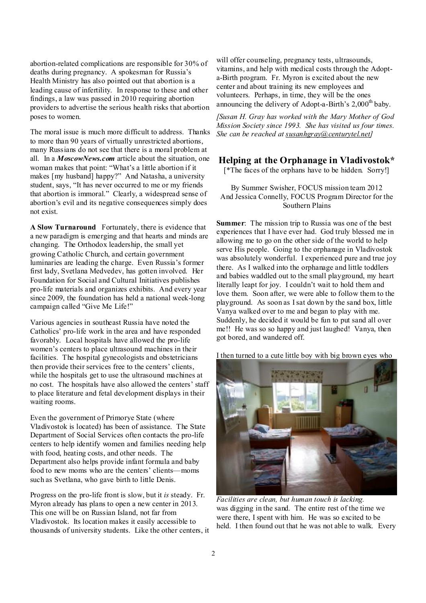abortion-related complications are responsible for 30% of deaths during pregnancy. A spokesman for Russia's Health Ministry has also pointed out that abortion is a leading cause of infertility. In response to these and other findings, a law was passed in 2010 requiring abortion providers to advertise the serious health risks that abortion poses to women.

The moral issue is much more difficult to address. Thanks to more than 90 years of virtually unrestricted abortions, many Russians do not see that there is a moral problem at all. In a *MoscowNews.com* article about the situation, one woman makes that point: "What's a little abortion if it makes [my husband] happy?" And Natasha, a university student, says, "It has never occurred to me or my friends that abortion is immoral." Clearly, a widespread sense of abortion's evil and its negative consequences simply does not exist.

**A Slow Turnaround** Fortunately, there is evidence that a new paradigm is emerging and that hearts and minds are changing. The Orthodox leadership, the small yet growing Catholic Church, and certain government luminaries are leading the charge. Even Russia's former first lady, Svetlana Medvedev, has gotten involved. Her Foundation for Social and Cultural Initiatives publishes pro-life materials and organizes exhibits. And every year since 2009, the foundation has held a national week-long campaign called "Give Me Life!"

Various agencies in southeast Russia have noted the Catholics' pro-life work in the area and have responded favorably. Local hospitals have allowed the pro-life women's centers to place ultrasound machines in their facilities. The hospital gynecologists and obstetricians then provide their services free to the centers' clients, while the hospitals get to use the ultrasound machines at no cost. The hospitals have also allowed the centers' staff to place literature and fetal development displays in their waiting rooms.

Even the government of Primorye State (where Vladivostok is located) has been of assistance. The State Department of Social Services often contacts the pro-life centers to help identify women and families needing help with food, heating costs, and other needs. The Department also helps provide infant formula and baby food to new moms who are the centers' clients—moms such as Svetlana, who gave birth to little Denis.

Progress on the pro-life front is slow, but it *is* steady. Fr. Myron already has plans to open a new center in 2013. This one will be on Russian Island, not far from Vladivostok. Its location makes it easily accessible to thousands of university students. Like the other centers, it

will offer counseling, pregnancy tests, ultrasounds, vitamins, and help with medical costs through the Adopta-Birth program. Fr. Myron is excited about the new center and about training its new employees and volunteers. Perhaps, in time, they will be the ones announcing the delivery of Adopt-a-Birth's  $2,000<sup>th</sup>$  baby.

*[Susan H. Gray has worked with the Mary Mother of God Mission Society since 1993. She has visited us four times. She can be reached at [susanhgray@centurytel.net\]](mailto:susanhgray@centurytel.net)*

#### **Helping at the Orphanage in Vladivostok\***

[\*The faces of the orphans have to be hidden. Sorry!]

By Summer Swisher, FOCUS mission team 2012 And Jessica Connelly, FOCUS Program Director for the Southern Plains

**Summer**: The mission trip to Russia was one of the best experiences that I have ever had. God truly blessed me in allowing me to go on the other side of the world to help serve His people. Going to the orphanage in Vladivostok was absolutely wonderful. I experienced pure and true joy there. As I walked into the orphanage and little toddlers and babies waddled out to the small playground, my heart literally leapt for joy. I couldn't wait to hold them and love them. Soon after, we were able to follow them to the playground. As soon as Isat down by the sand box, little Vanya walked over to me and began to play with me. Suddenly, he decided it would be fun to put sand all over me!! He was so so happy and just laughed! Vanya, then got bored, and wandered off.

I then turned to a cute little boy with big brown eyes who



*Facilities are clean, but human touch is lacking.*  was digging in the sand. The entire rest of the time we were there, I spent with him. He was so excited to be held. I then found out that he was not able to walk. Every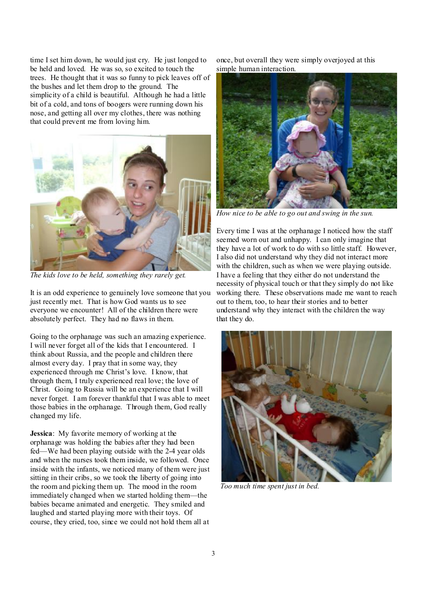time I set him down, he would just cry. He just longed to be held and loved. He was so, so excited to touch the trees. He thought that it was so funny to pick leaves off of the bushes and let them drop to the ground. The simplicity of a child is beautiful. Although he had a little bit of a cold, and tons of boogers were running down his nose, and getting all over my clothes, there was nothing that could prevent me from loving him.



*The kids love to be held, something they rarely get.* 

It is an odd experience to genuinely love someone that you just recently met. That is how God wants us to see everyone we encounter! All of the children there were absolutely perfect. They had no flaws in them.

Going to the orphanage was such an amazing experience. I will never forget all of the kids that I encountered. I think about Russia, and the people and children there almost every day. I pray that in some way, they experienced through me Christ's love. I know, that through them, I truly experienced real love; the love of Christ. Going to Russia will be an experience that I will never forget. I am forever thankful that I was able to meet those babies in the orphanage. Through them, God really changed my life.

**Jessica**: My favorite memory of working at the orphanage was holding the babies after they had been fed—We had been playing outside with the 2-4 year olds and when the nurses took them inside, we followed. Once inside with the infants, we noticed many of them were just sitting in their cribs, so we took the liberty of going into the room and picking them up. The mood in the room immediately changed when we started holding them—the babies became animated and energetic. They smiled and laughed and started playing more with their toys. Of course, they cried, too, since we could not hold them all at

once, but overall they were simply overjoyed at this simple human interaction.



*How nice to be able to go out and swing in the sun.* 

Every time I was at the orphanage I noticed how the staff seemed worn out and unhappy. I can only imagine that they have a lot of work to do with so little staff. However, I also did not understand why they did not interact more with the children, such as when we were playing outside. I have a feeling that they either do not understand the necessity of physical touch or that they simply do not like working there. These observations made me want to reach out to them, too, to hear their stories and to better understand why they interact with the children the way that they do.



*Too much time spent just in bed.*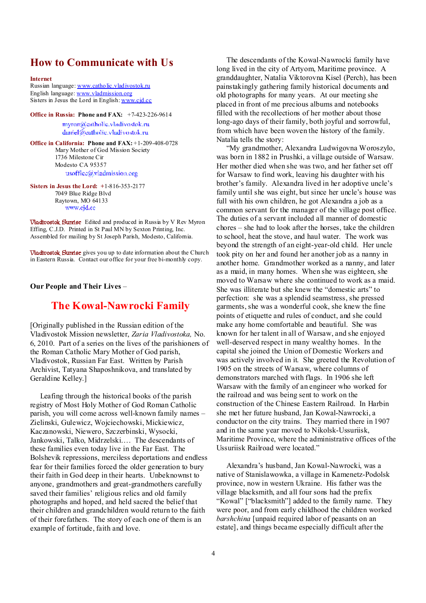## **How to Communicate with Us**

**Internet**

Russian language: [www.catholic.vladivostok.ru](http://www.catholic.vladivostok.ru) English language: [www.vladmission.org](http://www.vladmission.org) Sisters in Jesus the Lord in English: [www.cjd.cc](http://www.cjd.cc)

**Office in Russia: Phone and FAX:** +7-423-226-9614

myron@catholic.vladivostok.ru daniel@eatholic.vladivostok.ru

**Office in California: Phone and FAX:** +1-209-408-0728 Mary Mother of God Mission Society 1736 Milestone Cir Modesto CA 95357 usoffice@vladmission.org

**Sisters in Jesus the Lord: +**1-816-353-2177 7049 Blue Ridge Blvd Raytown, MO 64133 www.cjd.cc

**Vladivostok Sunrise** Edited and produced in Russia by V Rev Myron Effing, C.J.D. Printed in St Paul MN by Sexton Printing, Inc. Assembled for mailing by St Joseph Parish, Modesto, California.

**Vladivostok Sunrise** gives you up to date information about the Church in Eastern Russia. Contact our office for your free bi-monthly copy.

**Our People and Their Lives** –

#### **The Kowal-Nawrocki Family**

[Originally published in the Russian edition of the Vladivostok Mission newsletter, *Zaria Vladivostoka,* No. 6, 2010. Part of a series on the lives of the parishioners of the Roman Catholic Mary Mother of God parish, Vladivostok, Russian Far East. Written by Parish Archivist, Tatyana Shaposhnikova, and translated by Geraldine Kelley.]

 Leafing through the historical books of the parish registry of Most Holy Mother of God Roman Catholic parish, you will come across well-known family names – Zielinski, Gulewicz, Wojciechowski, Mickiewicz, Kaczanowski, Niewero, Szczerbinski, Wysocki, Jankowski, Talko, Midrzelski…. The descendants of these families even today live in the Far East. The Bolshevik repressions, merciless deportations and endless fear for their families forced the older generation to bury their faith in God deep in their hearts. Unbeknownst to anyone, grandmothers and great-grandmothers carefully saved their families' religious relics and old family photographs and hoped, and held sacred the belief that their children and grandchildren would return to the faith of their forefathers. The story of each one of them is an example of fortitude, faith and love.

 The descendants of the Kowal-Nawrocki family have long lived in the city of Artyom, Maritime province. A granddaughter, Natalia Viktorovna Kisel (Perch), has been painstakingly gathering family historical documents and old photographs for many years. At our meeting she placed in front of me precious albums and notebooks filled with the recollections of her mother about those long-ago days of their family, both joyful and sorrowful, from which have been woven the history of the family. Natalia tells the story:

 "My grandmother, Alexandra Ludwigovna Woroszylo, was born in 1882 in Prushki, a village outside of Warsaw. Her mother died when she was two, and her father set off for Warsaw to find work, leaving his daughter with his brother's family. Alexandra lived in her adoptive uncle's family until she was eight, but since her uncle's house was full with his own children, he got Alexandra a job as a common servant for the manager of the village post office. The duties of a servant included all manner of domestic chores – she had to look after the horses, take the children to school, heat the stove, and haul water. The work was beyond the strength of an eight-year-old child. Her uncle took pity on her and found her another job as a nanny in another home. Grandmother worked as a nanny, and later as a maid, in many homes. When she was eighteen, she moved to Warsaw where she continued to work as a maid. She was illiterate but she knew the "domestic arts" to perfection: she was a splendid seamstress, she pressed garments, she was a wonderful cook, she knew the fine points of etiquette and rules of conduct, and she could make any home comfortable and beautiful. She was known for her talent in all of Warsaw, and she enjoyed well-deserved respect in many wealthy homes. In the capital she joined the Union of Domestic Workers and was actively involved in it. She greeted the Revolution of 1905 on the streets of Warsaw, where columns of demonstrators marched with flags. In 1906 she left Warsaw with the family of an engineer who worked for the railroad and was being sent to work on the construction of the Chinese Eastern Railroad. In Harbin she met her future husband, Jan Kowal-Nawrocki, a conductor on the city trains. They married there in 1907 and in the same year moved to Nikolsk-Ussuriisk, Maritime Province, where the administrative offices of the Ussuriisk Railroad were located."

 Alexandra's husband, Jan Kowal-Nawrocki, was a native of Stanislawowka, a village in Kamenetz-Podolsk province, now in western Ukraine. His father was the village blacksmith, and all four sons had the prefix "Kowal" ["blacksmith"] added to the family name. They were poor, and from early childhood the children worked *barshchina* [unpaid required labor of peasants on an estate], and things became especially difficult after the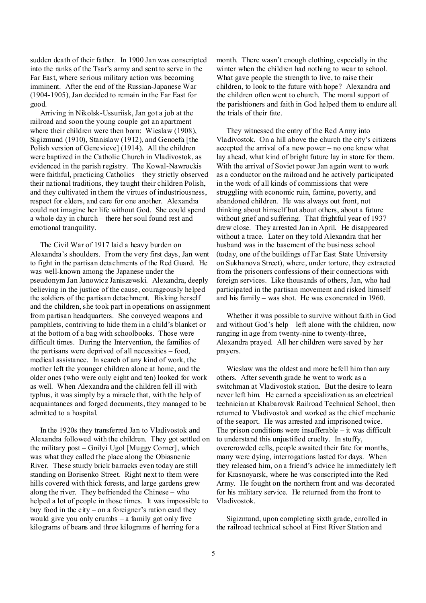sudden death of their father. In 1900 Jan was conscripted into the ranks of the Tsar's army and sent to serve in the Far East, where serious military action was becoming imminent. After the end of the Russian-Japanese War (1904-1905), Jan decided to remain in the Far East for good.

 Arriving in Nikolsk-Ussuriisk, Jan got a job at the railroad and soon the young couple got an apartment where their children were then born: Wieslaw (1908), Sigizmund (1910), Stanislaw (1912), and Genoefa [the Polish version of Genevieve] (1914). All the children were baptized in the Catholic Church in Vladivostok, as evidenced in the parish registry. The Kowal-Nawrockis were faithful, practicing Catholics – they strictly observed their national traditions, they taught their children Polish, and they cultivated in them the virtues of industriousness, respect for elders, and care for one another. Alexandra could not imagine her life without God. She could spend a whole day in church – there her soul found rest and emotional tranquility.

 The Civil War of 1917 laid a heavy burden on Alexandra's shoulders. From the very first days, Jan went to fight in the partisan detachments of the Red Guard. He was well-known among the Japanese under the pseudonym Jan Janowicz Janiszewski. Alexandra, deeply believing in the justice of the cause, courageously helped the soldiers of the partisan detachment. Risking herself and the children, she took part in operations on assignment from partisan headquarters. She conveyed weapons and pamphlets, contriving to hide them in a child's blanket or at the bottom of a bag with schoolbooks. Those were difficult times. During the Intervention, the families of the partisans were deprived of all necessities – food, medical assistance. In search of any kind of work, the mother left the younger children alone at home, and the older ones (who were only eight and ten) looked for work as well. When Alexandra and the children fell ill with typhus, it was simply by a miracle that, with the help of acquaintances and forged documents, they managed to be admitted to a hospital.

 In the 1920s they transferred Jan to Vladivostok and Alexandra followed with the children. They got settled on the military post – Gnilyi Ugol [Muggy Corner], which was what they called the place along the Obiasnenie River. These sturdy brick barracks even today are still standing on Borisenko Street. Right next to them were hills covered with thick forests, and large gardens grew along the river. They befriended the Chinese – who helped a lot of people in those times. It was impossible to buy food in the city – on a foreigner's ration card they would give you only crumbs – a family got only five kilograms of beans and three kilograms of herring for a

month. There wasn't enough clothing, especially in the winter when the children had nothing to wear to school. What gave people the strength to live, to raise their children, to look to the future with hope? Alexandra and the children often went to church. The moral support of the parishioners and faith in God helped them to endure all the trials of their fate.

 They witnessed the entry of the Red Army into Vladivostok. On a hill above the church the city's citizens accepted the arrival of a new power – no one knew what lay ahead, what kind of bright future lay in store for them. With the arrival of Soviet power Jan again went to work as a conductor on the railroad and he actively participated in the work of all kinds of commissions that were struggling with economic ruin, famine, poverty, and abandoned children. He was always out front, not thinking about himself but about others, about a future without grief and suffering. That frightful year of 1937 drew close. They arrested Jan in April. He disappeared without a trace. Later on they told Alexandra that her husband was in the basement of the business school (today, one of the buildings of Far East State University on Sukhanova Street), where, under torture, they extracted from the prisoners confessions of their connections with foreign services. Like thousands of others, Jan, who had participated in the partisan movement and risked himself and his family – was shot. He was exonerated in 1960.

 Whether it was possible to survive without faith in God and without God's help – left alone with the children, now ranging in age from twenty-nine to twenty-three, Alexandra prayed. All her children were saved by her prayers.

 Wieslaw was the oldest and more befell him than any others. After seventh grade he went to work as a switchman at Vladivostok station. But the desire to learn never left him. He earned a specialization as an electrical technician at Khabarovsk Railroad Technical School, then returned to Vladivostok and worked as the chief mechanic of the seaport. He was arrested and imprisoned twice. The prison conditions were insufferable  $-$  it was difficult to understand this unjustified cruelty. In stuffy, overcrowded cells, people awaited their fate for months, many were dying, interrogations lasted for days. When they released him, on a friend's advice he immediately left for Krasnoyarsk, where he was conscripted into the Red Army. He fought on the northern front and was decorated for his military service. He returned from the front to Vladivostok.

 Sigizmund, upon completing sixth grade, enrolled in the railroad technical school at First River Station and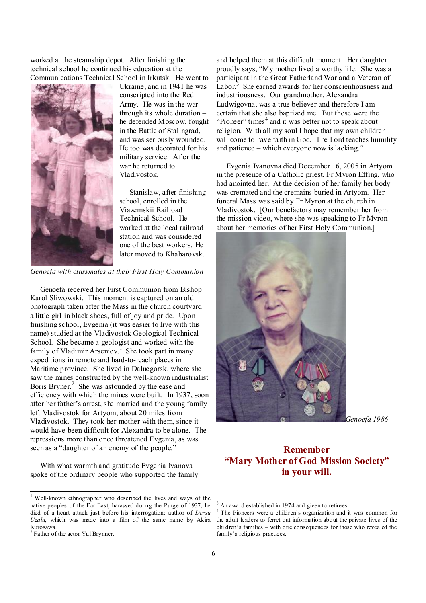worked at the steamship depot. After finishing the technical school he continued his education at the Communications Technical School in Irkutsk. He went to



Ukraine, and in 1941 he was conscripted into the Red Army. He was in the war through its whole duration – he defended Moscow, fought in the Battle of Stalingrad, and was seriously wounded. He too was decorated for his military service. After the war he returned to Vladivostok.

 Stanislaw, after finishing school, enrolled in the Viazemskii Railroad Technical School. He worked at the local railroad station and was considered one of the best workers. He later moved to Khabarovsk.

*Genoefa with classmates at their First Holy Communion* 

 Genoefa received her First Communion from Bishop Karol Sliwowski. This moment is captured on an old photograph taken after the Mass in the church courtyard – a little girl in black shoes, full of joy and pride. Upon finishing school, Evgenia (it was easier to live with this name) studied at the Vladivostok Geological Technical School. She became a geologist and worked with the family of Vladimir Arseniev.<sup>1</sup> She took part in many expeditions in remote and hard-to-reach places in Maritime province. She lived in Dalnegorsk, where she saw the mines constructed by the well-known industrialist Boris Bryner.<sup>2</sup> She was astounded by the ease and efficiency with which the mines were built. In 1937, soon after her father's arrest, she married and the young family left Vladivostok for Artyom, about 20 miles from Vladivostok. They took her mother with them, since it would have been difficult for Alexandra to be alone. The repressions more than once threatened Evgenia, as was seen as a "daughter of an enemy of the people."

 With what warmth and gratitude Evgenia Ivanova spoke of the ordinary people who supported the family

 $\overline{a}$ 

and helped them at this difficult moment. Her daughter proudly says, "My mother lived a worthy life. She was a participant in the Great Fatherland War and a Veteran of Labor.<sup>3</sup> She earned awards for her conscientiousness and industriousness. Our grandmother, Alexandra Ludwigovna, was a true believer and therefore I am certain that she also baptized me. But those were the "Pioneer" times $<sup>4</sup>$  and it was better not to speak about</sup> religion. With all my soul I hope that my own children will come to have faith in God. The Lord teaches humility and patience – which everyone now is lacking."

 Evgenia Ivanovna died December 16, 2005 in Artyom in the presence of a Catholic priest, Fr Myron Effing, who had anointed her. At the decision of her family her body was cremated and the cremains buried in Artyom. Her funeral Mass was said by Fr Myron at the church in Vladivostok. [Our benefactors may remember her from the mission video, where she was speaking to Fr Myron about her memories of her First Holy Communion.]



*Genoefa 1986* 

### **Remember "Mary Mother of God Mission Society" in your will.**

l

<sup>&</sup>lt;sup>1</sup> Well-known ethnographer who described the lives and ways of the native peoples of the Far East; harassed during the Purge of 1937, he died of a heart attack just before his interrogation; author of *Dersu Uzala*, which was made into a film of the same name by Akira Kurosawa.

<sup>2</sup> Father of the actor Yul Brynner.

An award established in 1974 and given to retirees.

The Pioneers were a children's organization and it was common for the adult leaders to ferret out information about the private lives of the children's families – with dire consequences for those who revealed the family's religious practices.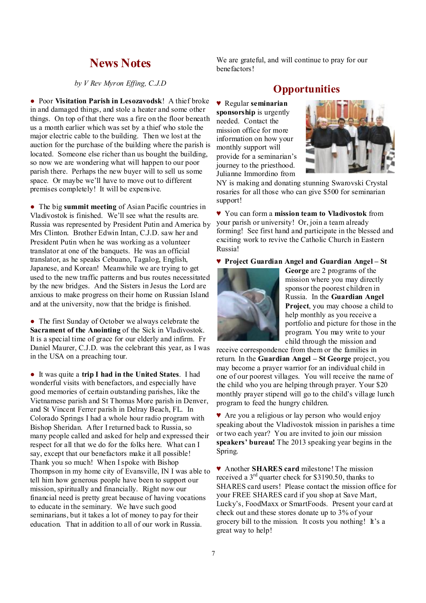## **News Notes**

*by V Rev Myron Effing, C.J.D* 

● Poor **Visitation Parish in Lesozavodsk**! A thief broke in and damaged things, and stole a heater and some other things. On top of that there was a fire on the floor beneath us a month earlier which was set by a thief who stole the major electric cable to the building. Then we lost at the auction for the purchase of the building where the parish is located. Someone else richer than us bought the building, so now we are wondering what will happen to our poor parish there. Perhaps the new buyer will to sell us some space. Or maybe we'll have to move out to different premises completely! It will be expensive.

● The big **summit meeting** of Asian Pacific countries in Vladivostok is finished. We'll see what the results are. Russia was represented by President Putin and America by Mrs Clinton. Brother Edwin Intan, C.J.D. saw her and President Putin when he was working as a volunteer translator at one of the banquets. He was an official translator, as he speaks Cebuano, Tagalog, English, Japanese, and Korean! Meanwhile we are trying to get used to the new traffic patterns and bus routes necessitated by the new bridges. And the Sisters in Jesus the Lord are anxious to make progress on their home on Russian Island and at the university, now that the bridge is finished.

• The first Sunday of October we always celebrate the **Sacrament of the Anointing** of the Sick in Vladivostok. It is a special time of grace for our elderly and infirm. Fr Daniel Maurer, C.J.D. was the celebrant this year, as I was in the USA on a preaching tour.

● It was quite a **trip I had in the United States**. I had wonderful visits with benefactors, and especially have good memories of certain outstanding parishes, like the Vietnamese parish and St Thomas More parish in Denver, and St Vincent Ferrer parish in Delray Beach, FL. In Colorado Springs I had a whole hour radio program with Bishop Sheridan. After I returned back to Russia, so many people called and asked for help and expressed their respect for all that we do for the folks here. What can I say, except that our benefactors make it all possible! Thank you so much! When Ispoke with Bishop Thompson in my home city of Evansville, IN I was able to tell him how generous people have been to support our mission, spiritually and financially. Right now our financial need is pretty great because of having vocations to educate in the seminary. We have such good seminarians, but it takes a lot of money to pay for their education. That in addition to all of our work in Russia.

We are grateful, and will continue to pray for our benefactors!

## **Opportunities**

**♥** Regular **seminarian sponsorship** is urgently needed. Contact the mission office for more information on how your monthly support will provide for a seminarian's journey to the priesthood. Julianne Immordino from



NY is making and donating stunning Swarovski Crystal rosaries for all those who can give \$500 for seminarian support!

♥ You can form a **mission team to Vladivostok** from your parish or university! Or, join a team already forming! See first hand and participate in the blessed and exciting work to revive the Catholic Church in Eastern Russia!

♥ **Project Guardian Angel and Guardian Angel – St** 



**George** are 2 programs of the mission where you may directly sponsor the poorest children in Russia. In the **Guardian Angel Project**, you may choose a child to help monthly as you receive a portfolio and picture for those in the program. You may write to your child through the mission and

receive correspondence from them or the families in return. In the **Guardian Angel – St George** project, you may become a prayer warrior for an individual child in one of our poorest villages. You will receive the name of the child who you are helping through prayer. Your \$20 monthly prayer stipend will go to the child's village lunch program to feed the hungry children.

♥ Are you a religious or lay person who would enjoy speaking about the Vladivostok mission in parishes a time or two each year? You are invited to join our mission **speakers' bureau!** The 2013 speaking year begins in the Spring.

♥ Another **SHARES card** milestone! The mission received a 3rd quarter check for \$3190.50, thanks to SHARES card users! Please contact the mission office for your FREE SHARES card if you shop at Save Mart, Lucky's, FoodMaxx or SmartFoods. Present your card at check out and these stores donate up to 3% of your grocery bill to the mission. It costs you nothing! It's a great way to help!